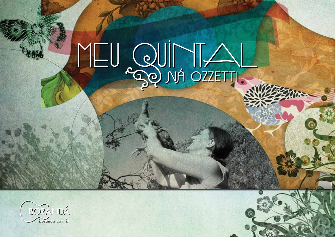



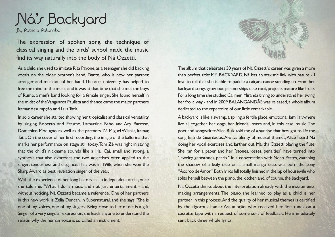

By Patrícia Palumbo

The expression of spoken song, the technique of classical singing and the birds' school made the music find its way naturally into the body of Ná Ozzetti.

As a child, she used to imitate Rita Pavone, as a teenager she did backing vocals on the older brother's band, Dante, who is now her partner, arranger and musician of her band. The arts university has helped to free the mind to the music and it was at that time that she met the boys of Rumo, a men's band looking for a female singer. She found herself in the midst of the Vanguarda Paulista and thence came the major partners Itamar Assumpção and Luiz Tatit.

In solo career, she started showing her tropicalist and classical versatility by singing Roberto and Erasmo, Lamartine Babo and Ary Barroso, Domenico Modugno, as well as the partners Zé Miguel Wisnik, Itamar, Tatit. On the cover of her first recording, the image of the ballerina that marks her performance on stage still today. Tom Zé was right in saying that the child's nickname sounds like a Hai Cai, small and strong, a synthesis that also expresses the two adjectives often applied to the singer: tenderness and elegance. That was in 1988, when she won the Sharp Award as best revelation singer of the year.

With the experience of her long history as an independent artist, once she told me: "What I do is music and not just entertainment - and, without noticing, Ná Ozzetti became a reference. One of her partners in this new work is Zélia Duncan, in Supernatural, and she says: "She is one of my voices, one of my singers. Being close to her music is a gift. Singer of a very singular expression, she leads anyone to understand the reason why the human voice is so called an instrument."



The album that celebrates 30 years of Ná Ozzetti's career was given a more than perfect title: MY BACKYARD. Ná has an atavistic link with nature - I love to tell that she is able to paddle a caiçara canoe standing up. From her backyard songs grow out, partnerships take root, projects mature like fruits. For a long time she studied Carmen Miranda trying to understand her swing, her frolic way - and in 2009 BALANGANDÃS was released, a whole album dedicated to the repertoire of our little remarkable.

A backyard is like a swamp, a spring, a fertile place, emotional, familiar, where live all together her dogs, her friends, lovers and, in this case, music. The poet and songwriter Alice Ruiz told me of a sunrise that brought to life the song Baú de Guardados. Always plenty of musical themes, Alice heard Ná doing her vocal exercises and, farther out, Martha Ozzetti playing the flute. She ran for a paper and her "stones, losses, penalties" have turned into "jewelry, gemstones, pearls." In a conversation with Neco Prates, watching the shadow of a leafy tree on a small mango tree, was born the song "Acordo de Amor". Both lyrics fell totally finished in the lap of housewife who splits herself between the piano, the kitchen and, of course, the backyard.

Ná Ozzetti thinks about the interpretation already with the instruments, making arrangements. The piano she learned to play as a child is her partner in this process. And the quality of her musical themes is certified by the rigorous Itamar Assumpção, who received her first tunes on a cassette tape with a request of some sort of feedback. He immediately sent back three whole lyrics.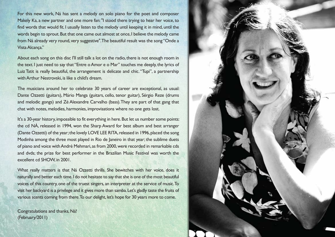For this new work, Ná has sent a melody on solo piano for the poet and composer Makely Ka, a new partner and one more fan: "I stood there trying to hear her voice, to find words that would fit. I usually listen to the melody until keeping it in mind, until the words begin to sprout. But that one came out almost at once, I believe the melody came from Ná already very round, very suggestive". The beautiful result was the song "Onde a Vista Alcança."

About each song on this disc I'll still talk a lot on the radio, there is not enough room in the text. I just need to say that "Entre o Amor e o Mar" touches me deeply, the lyrics of Luiz Tatit is really beautiful, the arrangement is delicate and chic. "Tupi", a partnership with Arthur Nestrovski, is like a child's dream.

The musicians around her to celebrate 30 years of career are exceptional, as usual: Dante Ozzetti (guitars), Mário Manga (guitars, cello, tenor guitar), Sérgio Reze (drums and melodic gongs) and Zé Alexandre Carvalho (bass). They are part of that gang that chat with notes, melodies, harmonies, improvisations where no one gets lost.

It's a 30-year history, impossible to fit everything in here. But let us number some points: the cd NÁ, released in 1994, won the Sharp Award for best album and best arranger (Dante Ozzetti) of the year; the lovely LOVE LEE RITA, released in 1996, placed the song Modinha among the three most played in Rio de Janeiro in that year; the sublime duets of piano and voice with André Mehmari, as from 2000, were recorded in remarkable cds and dvds; the prize for best performer in the Brazilian Music Festival was worth the excellent cd SHOW, in 2001.

What really matters is that Ná Ozzetti thrills. She bewitches with her voice, does it naturally and better each time. I do not hesitate to say that she is one of the most beautiful voices of this country, one of the truest singers, an interpreter at the service of music. To visit her backyard is a privilege and it gives more than samba. Let's gladly taste the fruits of various scents coming from there. To our delight, let's hope for 30 years more to come.

Congratulations and thanks, Ná! (February/2011)

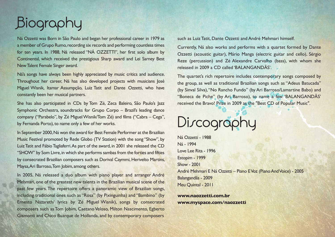## Biography

Ná Ozzetti was Born in São Paulo and began her professional career in 1979 as a member of Grupo Rumo, recording six records and performing countless times for ten years. In 1988, Ná released "NÁ OZZETTI", her first solo album by Continental, which received the prestigious Sharp award and Lei Sarney Best New Talent Female Singer award.

Ná's songs have always been highly appreciated by music critics and audience. Throughout her career, Ná has also developed projects with musicians José Miguel Wisnik, Itamar Assumpção, Luiz Tatit and Dante Ozzetti, who have constantly been her musical partners.

She has also participated in CDs by Tom Zé, Zeca Baleiro, São Paulo's Jazz Symphonic Orchestra, soundtracks for Grupo Corpo – Brazil's leading dance company ("Parabelo", by Zé Miguel Wisnik/Tom Zé) and films ("Cabra – Cega", by Fernanda Porto), to name only a few of her works.

In September 2000, Ná won the award for Best Female Performer at the Brazilian Music Festival promoted by Rede Globo (TV Station) with the song "Show", by Luiz Tatit and Fábio Tagliaferri. As part of the award, in 2001 she released the CD "SHOW" by Som Livre, in which she performs sambas from the forties and fifties by consecrated Brazilian composers such as Dorival Caymmi, Herivelto Martins, Maysa, Ari Barroso, Tom Jobim, among others.

In 2005, Ná released a duo album with piano player and arranger André Mehmari, one of the greatest new talents in the Brazilian musical scene of the past few years. The repertoire offers a panoramic view of Brazilian songs, including traditional ones such as "Rosa" (by Pixinguinha) and "Bambino" (by Ernesto Nazareth/ lyrics by Zé Miguel Wisnik), songs by consecrated composers such as Tom Jobim, Caetano Veloso, Milton Nascimento, Egberto Gismonti and Chico Buarque de Hollanda, and by contemporary composers

such as Luiz Tatit, Dante Ozzetti and André Mehmari himself.

Currently, Ná also works and performs with a quartet formed by Dante Ozzetti (acoustic guitar), Mário Manga (electric guitar and cello), Sérgio Reze (percussion) and Zé Alexandre Carvalho (bass), with whom she released in 2009 a CD called 'BALANGANDÃS'.

The quartet's rich repertoire includes contemporary songs composed by the group, as well as traditional Brazilian songs such as "Adeus Batucada" (by Sinval Silva), "No Rancho Fundo" (by Ari Barroso/Lamartine Babo) and "Boneca de Piche" (by Ari Barroso), to name a few. 'BALANGANDÃS' received the Bravo! Prize in 2009 as the "Best CD of Popular Music".

## Discography

Ná Ozzetti - 1988 Ná - 1994 Love Lee Rita - 1996 Estopim - 1999 Show - 2001 André Mehmari E Ná Ozzetti – Piano E Voz (Piano And Voice) - 2005 Balangandãs - 2009 Meu Quintal - 2011

**www.naozzetti.com.br www.myspace.com/naozzetti**